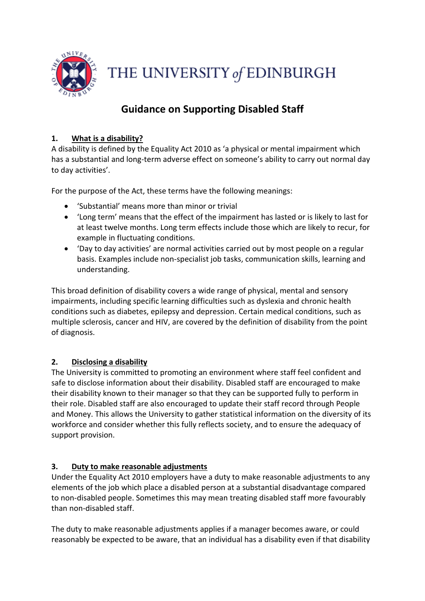

THE UNIVERSITY of EDINBURGH

# **Guidance on Supporting Disabled Staff**

# **1. What is a disability?**

A disability is defined by the Equality Act 2010 as 'a physical or mental impairment which has a substantial and long-term adverse effect on someone's ability to carry out normal day to day activities'.

For the purpose of the Act, these terms have the following meanings:

- 'Substantial' means more than minor or trivial
- 'Long term' means that the effect of the impairment has lasted or is likely to last for at least twelve months. Long term effects include those which are likely to recur, for example in fluctuating conditions.
- 'Day to day activities' are normal activities carried out by most people on a regular basis. Examples include non-specialist job tasks, communication skills, learning and understanding.

This broad definition of disability covers a wide range of physical, mental and sensory impairments, including specific learning difficulties such as dyslexia and chronic health conditions such as diabetes, epilepsy and depression. Certain medical conditions, such as multiple sclerosis, cancer and HIV, are covered by the definition of disability from the point of diagnosis.

# **2. Disclosing a disability**

The University is committed to promoting an environment where staff feel confident and safe to disclose information about their disability. Disabled staff are encouraged to make their disability known to their manager so that they can be supported fully to perform in their role. Disabled staff are also encouraged to update their staff record through People and Money. This allows the University to gather statistical information on the diversity of its workforce and consider whether this fully reflects society, and to ensure the adequacy of support provision.

# **3. Duty to make reasonable adjustments**

Under the Equality Act 2010 employers have a duty to make reasonable adjustments to any elements of the job which place a disabled person at a substantial disadvantage compared to non-disabled people. Sometimes this may mean treating disabled staff more favourably than non-disabled staff.

The duty to make reasonable adjustments applies if a manager becomes aware, or could reasonably be expected to be aware, that an individual has a disability even if that disability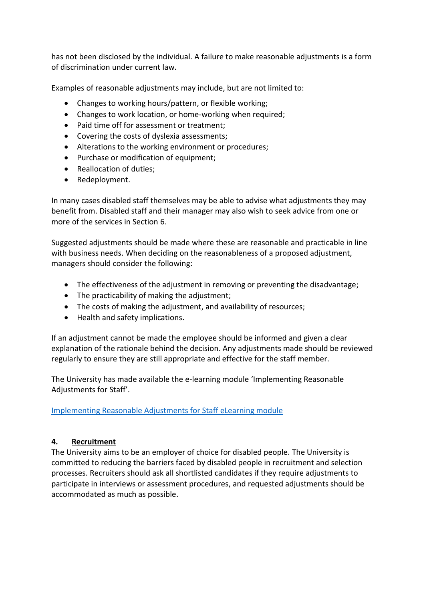has not been disclosed by the individual. A failure to make reasonable adjustments is a form of discrimination under current law.

Examples of reasonable adjustments may include, but are not limited to:

- Changes to working hours/pattern, or flexible working;
- Changes to work location, or home-working when required;
- Paid time off for assessment or treatment;
- Covering the costs of dyslexia assessments;
- Alterations to the working environment or procedures;
- Purchase or modification of equipment;
- Reallocation of duties:
- Redeployment.

In many cases disabled staff themselves may be able to advise what adjustments they may benefit from. Disabled staff and their manager may also wish to seek advice from one or more of the services in Section 6.

Suggested adjustments should be made where these are reasonable and practicable in line with business needs. When deciding on the reasonableness of a proposed adjustment, managers should consider the following:

- The effectiveness of the adjustment in removing or preventing the disadvantage;
- The practicability of making the adjustment;
- The costs of making the adjustment, and availability of resources;
- Health and safety implications.

If an adjustment cannot be made the employee should be informed and given a clear explanation of the rationale behind the decision. Any adjustments made should be reviewed regularly to ensure they are still appropriate and effective for the staff member.

The University has made available the e-learning module 'Implementing Reasonable Adjustments for Staff'.

#### [Implementing Reasonable Adjustments for Staff eLearning module](https://www.ed.ac.uk/equality-diversity/disabled-staff-support/disability-training)

#### **4. Recruitment**

The University aims to be an employer of choice for disabled people. The University is committed to reducing the barriers faced by disabled people in recruitment and selection processes. Recruiters should ask all shortlisted candidates if they require adjustments to participate in interviews or assessment procedures, and requested adjustments should be accommodated as much as possible.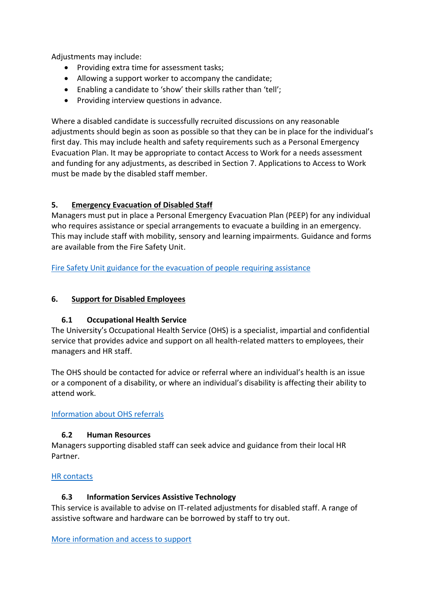Adjustments may include:

- Providing extra time for assessment tasks;
- Allowing a support worker to accompany the candidate;
- Enabling a candidate to 'show' their skills rather than 'tell';
- Providing interview questions in advance.

Where a disabled candidate is successfully recruited discussions on any reasonable adjustments should begin as soon as possible so that they can be in place for the individual's first day. This may include health and safety requirements such as a Personal Emergency Evacuation Plan. It may be appropriate to contact Access to Work for a needs assessment and funding for any adjustments, as described in Section 7. Applications to Access to Work must be made by the disabled staff member.

# **5. Emergency Evacuation of Disabled Staff**

Managers must put in place a Personal Emergency Evacuation Plan (PEEP) for any individual who requires assistance or special arrangements to evacuate a building in an emergency. This may include staff with mobility, sensory and learning impairments. Guidance and forms are available from the Fire Safety Unit.

[Fire Safety Unit guidance for the evacuation of people](https://www.ed.ac.uk/health-safety/fire-safety/assisted-evacuation) requiring assistance

## **6. Support for Disabled Employees**

# **6.1 Occupational Health Service**

The University's Occupational Health Service (OHS) is a specialist, impartial and confidential service that provides advice and support on all health-related matters to employees, their managers and HR staff.

The OHS should be contacted for advice or referral where an individual's health is an issue or a component of a disability, or where an individual's disability is affecting their ability to attend work.

[Information about OHS referrals](http://www.ed.ac.uk/schools-departments/health-safety/occupational-health/staff/referral)

#### **6.2 Human Resources**

Managers supporting disabled staff can seek advice and guidance from their local HR Partner.

#### [HR contacts](https://www.ed.ac.uk/human-resources/about)

# **6.3 Information Services Assistive Technology**

This service is available to advise on IT-related adjustments for disabled staff. A range of assistive software and hardware can be borrowed by staff to try out.

[More information and access to support](https://www.ed.ac.uk/information-services/help-consultancy/accessibility/assistive-technology/staff)